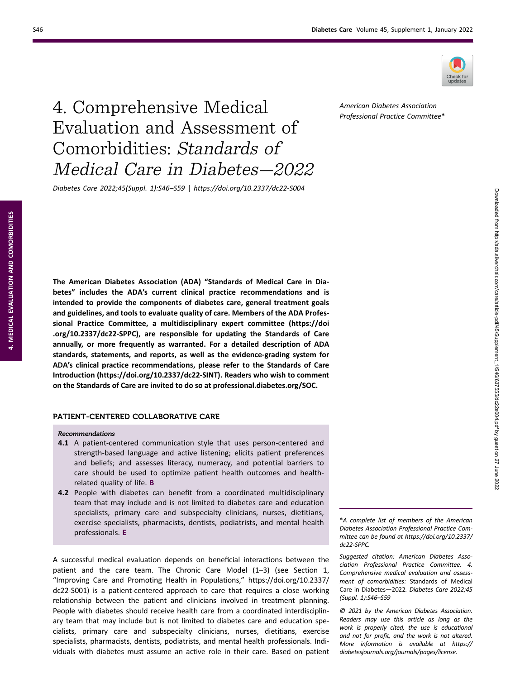

# 4. Comprehensive Medical Evaluation and Assessment of Comorbidities: Standards of Medical Care in Diabetes—2022

Diabetes Care 2022;45(Suppl. 1):S46–S59 | https://doi.org/10.2337/dc22-S004

The American Diabetes Association (ADA) "Standards of Medical Care in Diabetes" includes the ADA's current clinical practice recommendations and is intended to provide the components of diabetes care, general treatment goals and guidelines, and tools to evaluate quality of care. Members of the ADA Professional Practice Committee, a multidisciplinary expert committee [\(https://doi](https://doi.org/10.2337/dc22-SPPC) [.org/10.2337/dc22-SPPC\)](https://doi.org/10.2337/dc22-SPPC), are responsible for updating the Standards of Care annually, or more frequently as warranted. For a detailed description of ADA standards, statements, and reports, as well as the evidence-grading system for ADA's clinical practice recommendations, please refer to the Standards of Care Introduction (<https://doi.org/10.2337/dc22-SINT>). Readers who wish to comment on the Standards of Care are invited to do so at [professional.diabetes.org/SOC](https://professional.diabetes.org/SOC).

## PATIENT-CENTERED COLLABORATIVE CARE

#### Recommendations

- 4.1 A patient-centered communication style that uses person-centered and strength-based language and active listening; elicits patient preferences and beliefs; and assesses literacy, numeracy, and potential barriers to care should be used to optimize patient health outcomes and healthrelated quality of life. B
- 4.2 People with diabetes can benefit from a coordinated multidisciplinary team that may include and is not limited to diabetes care and education specialists, primary care and subspecialty clinicians, nurses, dietitians, exercise specialists, pharmacists, dentists, podiatrists, and mental health professionals. E

A successful medical evaluation depends on beneficial interactions between the patient and the care team. The Chronic Care Model (1–3) (see Section 1, "Improving Care and Promoting Health in Populations," [https://doi.org/10.2337/](https://doi.org/10.2337/dc22-S001) [dc22-S001](https://doi.org/10.2337/dc22-S001)) is a patient-centered approach to care that requires a close working relationship between the patient and clinicians involved in treatment planning. People with diabetes should receive health care from a coordinated interdisciplinary team that may include but is not limited to diabetes care and education specialists, primary care and subspecialty clinicians, nurses, dietitians, exercise specialists, pharmacists, dentists, podiatrists, and mental health professionals. Individuals with diabetes must assume an active role in their care. Based on patient

\*A complete list of members of the American Diabetes Association Professional Practice Committee can be found at [https://doi.org/10.2337/](https://doi.org/10.2337/dc22-SPPC) [dc22-SPPC.](https://doi.org/10.2337/dc22-SPPC)

Suggested citation: American Diabetes Association Professional Practice Committee. 4. Comprehensive medical evaluation and assessment of comorbidities: Standards of Medical Care in Diabetes—2022. Diabetes Care 2022;45 (Suppl. 1):S46–S59

© 2021 by the American Diabetes Association. Readers may use this article as long as the work is properly cited, the use is educational and not for profit, and the work is not altered. More information is available at [https://](https://diabetesjournals.org/journals/pages/license) [diabetesjournals.org/journals/pages/license.](https://diabetesjournals.org/journals/pages/license)

American Diabetes Association Professional Practice Committee\*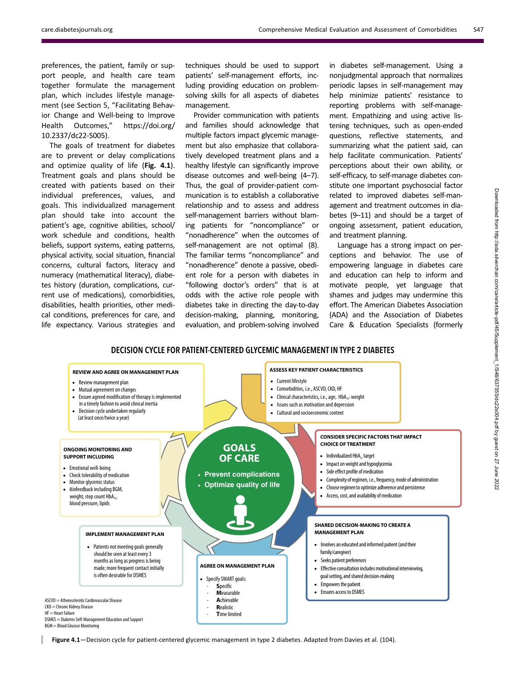preferences, the patient, family or support people, and health care team together formulate the management plan, which includes lifestyle management (see Section 5, "Facilitating Behavior Change and Well-being to Improve Health Outcomes," [https://doi.org/](https://doi.org/10.2337/dc22-S005) [10.2337/dc22-S005](https://doi.org/10.2337/dc22-S005)).

The goals of treatment for diabetes are to prevent or delay complications and optimize quality of life (Fig. 4.1). Treatment goals and plans should be created with patients based on their individual preferences, values, and goals. This individualized management plan should take into account the patient's age, cognitive abilities, school/ work schedule and conditions, health beliefs, support systems, eating patterns, physical activity, social situation, financial concerns, cultural factors, literacy and numeracy (mathematical literacy), diabetes history (duration, complications, current use of medications), comorbidities, disabilities, health priorities, other medical conditions, preferences for care, and life expectancy. Various strategies and

techniques should be used to support patients' self-management efforts, including providing education on problemsolving skills for all aspects of diabetes management.

Provider communication with patients and families should acknowledge that multiple factors impact glycemic management but also emphasize that collaboratively developed treatment plans and a healthy lifestyle can significantly improve disease outcomes and well-being (4–7). Thus, the goal of provider-patient communication is to establish a collaborative relationship and to assess and address self-management barriers without blaming patients for "noncompliance" or "nonadherence" when the outcomes of self-management are not optimal (8). The familiar terms "noncompliance" and "nonadherence" denote a passive, obedient role for a person with diabetes in "following doctor's orders" that is at odds with the active role people with diabetes take in directing the day-to-day decision-making, planning, monitoring, evaluation, and problem-solving involved

in diabetes self-management. Using a nonjudgmental approach that normalizes periodic lapses in self-management may help minimize patients' resistance to reporting problems with self-management. Empathizing and using active listening techniques, such as open-ended questions, reflective statements, and summarizing what the patient said, can help facilitate communication. Patients' perceptions about their own ability, or self-efficacy, to self-manage diabetes constitute one important psychosocial factor related to improved diabetes self-management and treatment outcomes in diabetes (9–11) and should be a target of ongoing assessment, patient education, and treatment planning.

Language has a strong impact on perceptions and behavior. The use of empowering language in diabetes care and education can help to inform and motivate people, yet language that shames and judges may undermine this effort. The American Diabetes Association (ADA) and the Association of Diabetes Care & Education Specialists (formerly

# DECISION CYCLE FOR PATIENT-CENTERED GLYCEMIC MANAGEMENT IN TYPE 2 DIABETES



Figure 4.1—Decision cycle for patient-centered glycemic management in type 2 diabetes. Adapted from Davies et al. (104).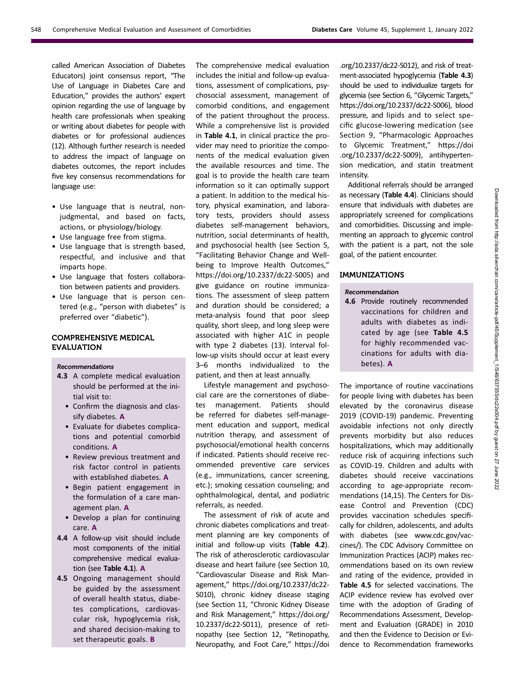called American Association of Diabetes Educators) joint consensus report, "The Use of Language in Diabetes Care and Education," provides the authors' expert opinion regarding the use of language by health care professionals when speaking or writing about diabetes for people with diabetes or for professional audiences (12). Although further research is needed to address the impact of language on diabetes outcomes, the report includes five key consensus recommendations for language use:

- Use language that is neutral, nonjudgmental, and based on facts, actions, or physiology/biology.
- Use language free from stigma.
- Use language that is strength based, respectful, and inclusive and that imparts hope.
- Use language that fosters collaboration between patients and providers.
- Use language that is person centered (e.g., "person with diabetes" is preferred over "diabetic").

# COMPREHENSIVE MEDICAL EVALUATION

#### Recommendations

- 4.3 A complete medical evaluation should be performed at the initial visit to:
	- Confirm the diagnosis and classify diabetes. A
	- Evaluate for diabetes complications and potential comorbid conditions. A
	- Review previous treatment and risk factor control in patients with established diabetes. A
	- Begin patient engagement in the formulation of a care management plan. A
	- Develop a plan for continuing care. A
- 4.4 A follow-up visit should include most components of the initial comprehensive medical evaluation (see Table 4.1). A
- 4.5 Ongoing management should be guided by the assessment of overall health status, diabetes complications, cardiovascular risk, hypoglycemia risk, and shared decision-making to set therapeutic goals. **B**

The comprehensive medical evaluation includes the initial and follow-up evaluations, assessment of complications, psychosocial assessment, management of comorbid conditions, and engagement of the patient throughout the process. While a comprehensive list is provided in Table 4.1, in clinical practice the provider may need to prioritize the components of the medical evaluation given the available resources and time. The goal is to provide the health care team information so it can optimally support a patient. In addition to the medical history, physical examination, and laboratory tests, providers should assess diabetes self-management behaviors, nutrition, social determinants of health, and psychosocial health (see Section 5, "Facilitating Behavior Change and Wellbeing to Improve Health Outcomes," <https://doi.org/10.2337/dc22-S005>) and give guidance on routine immunizations. The assessment of sleep pattern and duration should be considered; a meta-analysis found that poor sleep quality, short sleep, and long sleep were associated with higher A1C in people with type 2 diabetes (13). Interval follow-up visits should occur at least every 3–6 months individualized to the patient, and then at least annually.

Lifestyle management and psychosocial care are the cornerstones of diabetes management. Patients should be referred for diabetes self-management education and support, medical nutrition therapy, and assessment of psychosocial/emotional health concerns if indicated. Patients should receive recommended preventive care services (e.g., immunizations, cancer screening, etc.); smoking cessation counseling; and ophthalmological, dental, and podiatric referrals, as needed.

The assessment of risk of acute and chronic diabetes complications and treatment planning are key components of initial and follow-up visits (Table 4.2). The risk of atherosclerotic cardiovascular disease and heart failure (see Section 10, "Cardiovascular Disease and Risk Management," [https://doi.org/10.2337/dc22-](https://doi.org/10.2337/dc22-S010) [S010\)](https://doi.org/10.2337/dc22-S010), chronic kidney disease staging (see Section 11, "Chronic Kidney Disease and Risk Management," [https://doi.org/](https://doi.org/10.2337/dc22-S011) [10.2337/dc22-S011\)](https://doi.org/10.2337/dc22-S011), presence of retinopathy (see Section 12, "Retinopathy, Neuropathy, and Foot Care," [https://doi](https://doi.org/10.2337/dc22-S012)

[.org/10.2337/dc22-S012\)](https://doi.org/10.2337/dc22-S012), and risk of treatment-associated hypoglycemia (Table 4.3) should be used to individualize targets for glycemia (see Section 6, "Glycemic Targets," [https://doi.org/10.2337/dc22-S006\)](https://doi.org/10.2337/dc22-S006), blood pressure, and lipids and to select specific glucose-lowering medication (see Section 9, "Pharmacologic Approaches to Glycemic Treatment," [https://doi](https://doi.org/10.2337/dc22-S009) [.org/10.2337/dc22-S009\)](https://doi.org/10.2337/dc22-S009), antihypertension medication, and statin treatment intensity.

Additional referrals should be arranged as necessary (Table 4.4). Clinicians should ensure that individuals with diabetes are appropriately screened for complications and comorbidities. Discussing and implementing an approach to glycemic control with the patient is a part, not the sole goal, of the patient encounter.

# IMMUNIZATIONS

## Recommendation

4.6 Provide routinely recommended vaccinations for children and adults with diabetes as indicated by age (see Table 4.5 for highly recommended vaccinations for adults with diabetes). A

The importance of routine vaccinations for people living with diabetes has been elevated by the coronavirus disease 2019 (COVID-19) pandemic. Preventing avoidable infections not only directly prevents morbidity but also reduces hospitalizations, which may additionally reduce risk of acquiring infections such as COVID-19. Children and adults with diabetes should receive vaccinations according to age-appropriate recommendations (14,15). The Centers for Disease Control and Prevention (CDC) provides vaccination schedules specifically for children, adolescents, and adults with diabetes (see [www.cdc.gov/vac](http://www.cdc.gov/vaccines/)[cines/\)](http://www.cdc.gov/vaccines/). The CDC Advisory Committee on Immunization Practices (ACIP) makes recommendations based on its own review and rating of the evidence, provided in Table 4.5 for selected vaccinations. The ACIP evidence review has evolved over time with the adoption of Grading of Recommendations Assessment, Development and Evaluation (GRADE) in 2010 and then the Evidence to Decision or Evidence to Recommendation frameworks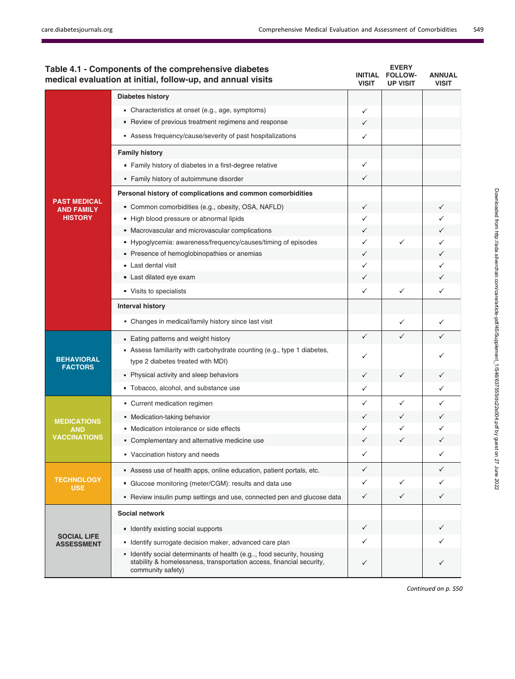|                                          | Table 4.1 - Components of the comprehensive diabetes<br>medical evaluation at initial, follow-up, and annual visits                                                | <b>INITIAL</b><br><b>VISIT</b> | <b>EVERY</b><br><b>FOLLOW-</b><br><b>UP VISIT</b> | <b>ANNUAL</b><br><b>VISIT</b> |
|------------------------------------------|--------------------------------------------------------------------------------------------------------------------------------------------------------------------|--------------------------------|---------------------------------------------------|-------------------------------|
|                                          | <b>Diabetes history</b>                                                                                                                                            |                                |                                                   |                               |
|                                          | • Characteristics at onset (e.g., age, symptoms)                                                                                                                   | ✓                              |                                                   |                               |
|                                          | • Review of previous treatment regimens and response                                                                                                               | ✓                              |                                                   |                               |
|                                          | Assess frequency/cause/severity of past hospitalizations                                                                                                           | ✓                              |                                                   |                               |
|                                          | <b>Family history</b>                                                                                                                                              |                                |                                                   |                               |
|                                          | • Family history of diabetes in a first-degree relative                                                                                                            | ✓                              |                                                   |                               |
|                                          | • Family history of autoimmune disorder                                                                                                                            | ✓                              |                                                   |                               |
|                                          | Personal history of complications and common comorbidities                                                                                                         |                                |                                                   |                               |
| <b>PAST MEDICAL</b><br><b>AND FAMILY</b> | " Common comorbidities (e.g., obesity, OSA, NAFLD)                                                                                                                 | ✓                              |                                                   |                               |
| <b>HISTORY</b>                           | - High blood pressure or abnormal lipids                                                                                                                           | ✓                              |                                                   |                               |
|                                          | • Macrovascular and microvascular complications                                                                                                                    | ✓                              |                                                   |                               |
|                                          | • Hypoglycemia: awareness/frequency/causes/timing of episodes                                                                                                      | ✓                              | ✓                                                 | $\checkmark$                  |
|                                          | Presence of hemoglobinopathies or anemias                                                                                                                          | ✓                              |                                                   | ✓                             |
|                                          | Last dental visit                                                                                                                                                  | ✓                              |                                                   |                               |
|                                          | Last dilated eye exam                                                                                                                                              | ✓                              |                                                   |                               |
|                                          | Visits to specialists                                                                                                                                              | ✓                              | ✓                                                 | $\checkmark$                  |
|                                          | <b>Interval history</b>                                                                                                                                            |                                |                                                   |                               |
|                                          | • Changes in medical/family history since last visit                                                                                                               |                                | ✓                                                 | ✓                             |
|                                          | • Eating patterns and weight history                                                                                                                               | $\checkmark$                   | $\checkmark$                                      | ✓                             |
|                                          | Assess familiarity with carbohydrate counting (e.g., type 1 diabetes,                                                                                              | ✓                              |                                                   |                               |
| <b>BEHAVIORAL</b><br><b>FACTORS</b>      | type 2 diabetes treated with MDI)                                                                                                                                  |                                |                                                   |                               |
|                                          | • Physical activity and sleep behaviors                                                                                                                            | $\checkmark$                   | ✓                                                 | ✓                             |
|                                          | Tobacco, alcohol, and substance use                                                                                                                                | ✓                              |                                                   | $\checkmark$                  |
|                                          | Current medication regimen                                                                                                                                         | ✓                              | ✓                                                 | ✓                             |
| <b>MEDICATIONS</b>                       | • Medication-taking behavior                                                                                                                                       | ✓                              | ✓                                                 |                               |
| <b>AND</b>                               | • Medication intolerance or side effects                                                                                                                           | ✓                              | ✓                                                 | ✓                             |
| <b>VACCINATIONS</b>                      | • Complementary and alternative medicine use                                                                                                                       | ✓                              | ✓                                                 |                               |
|                                          | Vaccination history and needs                                                                                                                                      |                                |                                                   |                               |
| <b>TECHNOLOGY</b><br><b>USE</b>          | Assess use of health apps, online education, patient portals, etc.                                                                                                 | ✓                              |                                                   | $\checkmark$                  |
|                                          | • Glucose monitoring (meter/CGM): results and data use                                                                                                             | $\checkmark$                   | ✓                                                 | ✓                             |
|                                          | • Review insulin pump settings and use, connected pen and glucose data                                                                                             | $\checkmark$                   | ✓                                                 | $\checkmark$                  |
|                                          | Social network                                                                                                                                                     |                                |                                                   |                               |
|                                          | Identify existing social supports                                                                                                                                  | $\checkmark$                   |                                                   |                               |
| <b>SOCIAL LIFE</b><br><b>ASSESSMENT</b>  | Identify surrogate decision maker, advanced care plan                                                                                                              | ✓                              |                                                   |                               |
|                                          | • Identify social determinants of health (e.g, food security, housing<br>stability & homelessness, transportation access, financial security,<br>community safety) | ✓                              |                                                   | ✓                             |
|                                          |                                                                                                                                                                    |                                |                                                   |                               |

Continued on p. S50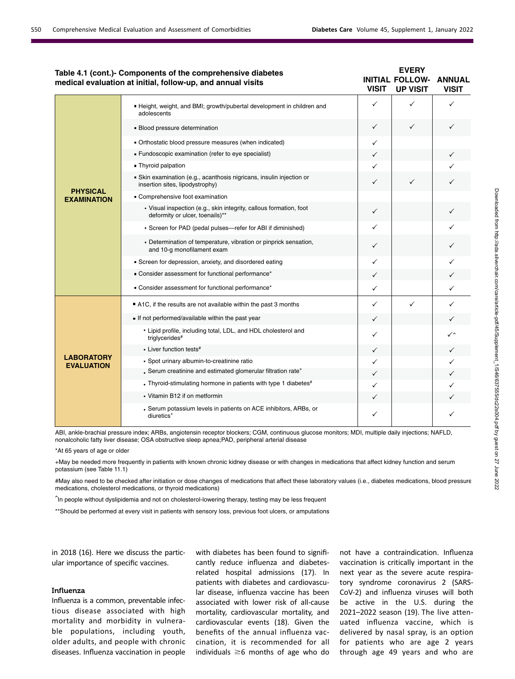|                                        | Table 4.1 (cont.)- Components of the comprehensive diabetes<br>medical evaluation at initial, follow-up, and annual visits | <b>VISIT</b> | <b>EVERY</b><br><b>INITIAL FOLLOW-</b><br><b>UP VISIT</b> | <b>ANNUAL</b><br><b>VISIT</b> |
|----------------------------------------|----------------------------------------------------------------------------------------------------------------------------|--------------|-----------------------------------------------------------|-------------------------------|
|                                        | . Height, weight, and BMI; growth/pubertal development in children and<br>adolescents                                      | ✓            | ✓                                                         | ✓                             |
|                                        | • Blood pressure determination                                                                                             | $\checkmark$ | $\checkmark$                                              | $\checkmark$                  |
|                                        | - Orthostatic blood pressure measures (when indicated)                                                                     | ✓            |                                                           |                               |
|                                        | - Fundoscopic examination (refer to eye specialist)                                                                        | ✓            |                                                           | ✓                             |
|                                        | • Thyroid palpation                                                                                                        | $\checkmark$ |                                                           |                               |
|                                        | Skin examination (e.g., acanthosis nigricans, insulin injection or<br>insertion sites, lipodystrophy)                      | ✓            | ✓                                                         | ✓                             |
| <b>PHYSICAL</b><br><b>EXAMINATION</b>  | Comprehensive foot examination                                                                                             |              |                                                           |                               |
|                                        | · Visual inspection (e.g., skin integrity, callous formation, foot<br>deformity or ulcer, toenails)**                      | $\checkmark$ |                                                           | $\checkmark$                  |
|                                        | • Screen for PAD (pedal pulses-refer for ABI if diminished)                                                                | ✓            |                                                           |                               |
|                                        | • Determination of temperature, vibration or pinprick sensation,<br>and 10-g monofilament exam                             | ✓            |                                                           | ✓                             |
|                                        | Screen for depression, anxiety, and disordered eating                                                                      | ✓            |                                                           | ✓                             |
|                                        | - Consider assessment for functional performance*                                                                          | ✓            |                                                           |                               |
|                                        | - Consider assessment for functional performance*                                                                          | ✓            |                                                           | $\checkmark$                  |
|                                        | A1C, if the results are not available within the past 3 months                                                             | ✓            | $\checkmark$                                              | ✓                             |
|                                        | If not performed/available within the past year                                                                            | ✓            |                                                           | ✓                             |
|                                        | • Lipid profile, including total, LDL, and HDL cholesterol and<br>triglycerides#                                           | ✓            |                                                           | ✓^                            |
|                                        | • Liver function tests#                                                                                                    | ✓            |                                                           | ✓                             |
| <b>LABORATORY</b><br><b>EVALUATION</b> | · Spot urinary albumin-to-creatinine ratio                                                                                 | ✓            |                                                           |                               |
|                                        | . Serum creatinine and estimated glomerular filtration rate <sup>+</sup>                                                   | ✓            |                                                           | ✓                             |
|                                        | • Thyroid-stimulating hormone in patients with type 1 diabetes#                                                            | ✓            |                                                           |                               |
|                                        | • Vitamin B12 if on metformin                                                                                              | ✓            |                                                           |                               |
|                                        | • Serum potassium levels in patients on ACE inhibitors, ARBs, or<br>diuretics <sup>+</sup>                                 | ✓            |                                                           | ✓                             |

ABI, ankle-brachial pressure index; ARBs, angiotensin receptor blockers; CGM, continuous glucose monitors; MDI, multiple daily injections; NAFLD, nonalcoholic fatty liver disease; OSA obstructive sleep apnea;PAD, peripheral arterial disease

\*At 65 years of age or older

+May be needed more frequently in patients with known chronic kidney disease or with changes in medications that affect kidney function and serum potassium (see Table 11.1)

#May also need to be checked after initiation or dose changes of medications that affect these laboratory values (i.e., diabetes medications, blood pressure medications, cholesterol medications, or thyroid medications)

In people without dyslipidemia and not on cholesterol-lowering therapy, testing may be less frequent

\*\*Should be performed at every visit in patients with sensory loss, previous foot ulcers, or amputations

in 2018 (16). Here we discuss the particular importance of specific vaccines.

#### Influenza

Influenza is a common, preventable infectious disease associated with high mortality and morbidity in vulnerable populations, including youth, older adults, and people with chronic diseases. Influenza vaccination in people

with diabetes has been found to significantly reduce influenza and diabetesrelated hospital admissions (17). In patients with diabetes and cardiovascular disease, influenza vaccine has been associated with lower risk of all-cause mortality, cardiovascular mortality, and cardiovascular events (18). Given the benefits of the annual influenza vaccination, it is recommended for all individuals  $\geq 6$  months of age who do

not have a contraindication. Influenza vaccination is critically important in the next year as the severe acute respiratory syndrome coronavirus 2 (SARS-CoV-2) and influenza viruses will both be active in the U.S. during the 2021–2022 season (19). The live attenuated influenza vaccine, which is delivered by nasal spray, is an option for patients who are age 2 years through age 49 years and who are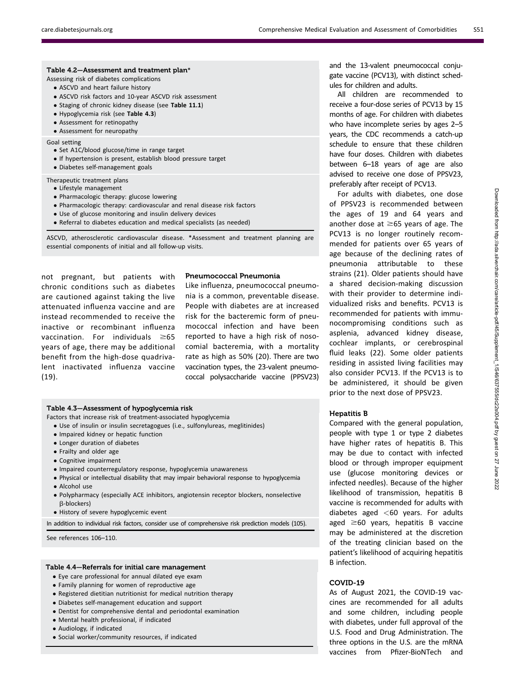| Table 4.2–Assessment and treatment plan*<br>Assessing risk of diabetes complications<br>• ASCVD and heart failure history<br>• ASCVD risk factors and 10-year ASCVD risk assessment<br>• Staging of chronic kidney disease (see Table 11.1)<br>• Hypoglycemia risk (see Table 4.3)<br>• Assessment for retinopathy<br>• Assessment for neuropathy |
|---------------------------------------------------------------------------------------------------------------------------------------------------------------------------------------------------------------------------------------------------------------------------------------------------------------------------------------------------|
| Goal setting<br>• Set A1C/blood glucose/time in range target<br>• If hypertension is present, establish blood pressure target<br>• Diabetes self-management goals                                                                                                                                                                                 |
| Therapeutic treatment plans<br>• Lifestyle management<br>• Pharmacologic therapy: glucose lowering<br>• Pharmacologic therapy: cardiovascular and renal disease risk factors                                                                                                                                                                      |

- Use of glucose monitoring and insulin delivery devices
- Referral to diabetes education and medical specialists (as needed)

ASCVD, atherosclerotic cardiovascular disease. \*Assessment and treatment planning are essential components of initial and all follow-up visits.

not pregnant, but patients with chronic conditions such as diabetes are cautioned against taking the live attenuated influenza vaccine and are instead recommended to receive the inactive or recombinant influenza vaccination. For individuals  $\geq 65$ years of age, there may be additional benefit from the high-dose quadrivalent inactivated influenza vaccine (19).

#### Pneumococcal Pneumonia

Like influenza, pneumococcal pneumonia is a common, preventable disease. People with diabetes are at increased risk for the bacteremic form of pneumococcal infection and have been reported to have a high risk of nosocomial bacteremia, with a mortality rate as high as 50% (20). There are two vaccination types, the 23-valent pneumococcal polysaccharide vaccine (PPSV23)

#### Table 4.3—Assessment of hypoglycemia risk

Factors that increase risk of treatment-associated hypoglycemia

- Use of insulin or insulin secretagogues (i.e., sulfonylureas, meglitinides)
- Impaired kidney or hepatic function
- Longer duration of diabetes
- Frailty and older age
- Cognitive impairment
- Impaired counterregulatory response, hypoglycemia unawareness
- Physical or intellectual disability that may impair behavioral response to hypoglycemia • Alcohol use
- Polypharmacy (especially ACE inhibitors, angiotensin receptor blockers, nonselective b-blockers)
- History of severe hypoglycemic event

In addition to individual risk factors, consider use of comprehensive risk prediction models (105).

See references 106–110.

#### Table 4.4—Referrals for initial care management

- Eye care professional for annual dilated eye exam
- Family planning for women of reproductive age
- Registered dietitian nutritionist for medical nutrition therapy
- Diabetes self-management education and support
- Dentist for comprehensive dental and periodontal examination
- Mental health professional, if indicated
- Audiology, if indicated
- Social worker/community resources, if indicated

and the 13-valent pneumococcal conjugate vaccine (PCV13), with distinct schedules for children and adults.

All children are recommended to receive a four-dose series of PCV13 by 15 months of age. For children with diabetes who have incomplete series by ages 2–5 years, the CDC recommends a catch-up schedule to ensure that these children have four doses. Children with diabetes between 6–18 years of age are also advised to receive one dose of PPSV23, preferably after receipt of PCV13.

For adults with diabetes, one dose of PPSV23 is recommended between the ages of 19 and 64 years and another dose at  $\geq 65$  years of age. The PCV13 is no longer routinely recommended for patients over 65 years of age because of the declining rates of pneumonia attributable to these strains (21). Older patients should have a shared decision-making discussion with their provider to determine individualized risks and benefits. PCV13 is recommended for patients with immunocompromising conditions such as asplenia, advanced kidney disease, cochlear implants, or cerebrospinal fluid leaks (22). Some older patients residing in assisted living facilities may also consider PCV13. If the PCV13 is to be administered, it should be given prior to the next dose of PPSV23.

#### Hepatitis B

Compared with the general population, people with type 1 or type 2 diabetes have higher rates of hepatitis B. This may be due to contact with infected blood or through improper equipment use (glucose monitoring devices or infected needles). Because of the higher likelihood of transmission, hepatitis B vaccine is recommended for adults with diabetes aged  $<$  60 years. For adults aged  $\geq 60$  years, hepatitis B vaccine may be administered at the discretion of the treating clinician based on the patient's likelihood of acquiring hepatitis B infection.

# COVID-19

As of August 2021, the COVID-19 vaccines are recommended for all adults and some children, including people with diabetes, under full approval of the U.S. Food and Drug Administration. The three options in the U.S. are the mRNA vaccines from Pfizer-BioNTech and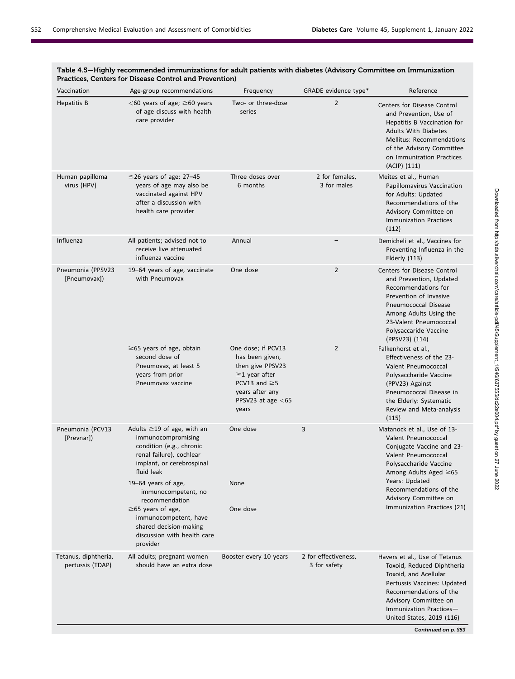| Vaccination                              | Age-group recommendations                                                                                                                                                             | Frequency                                                                                                                                                  | GRADE evidence type*                 | Reference                                                                                                                                                                                                                                             |
|------------------------------------------|---------------------------------------------------------------------------------------------------------------------------------------------------------------------------------------|------------------------------------------------------------------------------------------------------------------------------------------------------------|--------------------------------------|-------------------------------------------------------------------------------------------------------------------------------------------------------------------------------------------------------------------------------------------------------|
| Hepatitis B                              | $<$ 60 years of age; $\geq$ 60 years<br>of age discuss with health<br>care provider                                                                                                   | Two- or three-dose<br>series                                                                                                                               | $\overline{2}$                       | Centers for Disease Control<br>and Prevention, Use of<br>Hepatitis B Vaccination for<br><b>Adults With Diabetes</b><br><b>Mellitus: Recommendations</b><br>of the Advisory Committee<br>on Immunization Practices<br>(ACIP) (111)                     |
| Human papilloma<br>virus (HPV)           | $\leq$ 26 years of age; 27–45<br>years of age may also be<br>vaccinated against HPV<br>after a discussion with<br>health care provider                                                | Three doses over<br>6 months                                                                                                                               | 2 for females,<br>3 for males        | Meites et al., Human<br>Papillomavirus Vaccination<br>for Adults: Updated<br>Recommendations of the<br>Advisory Committee on<br><b>Immunization Practices</b><br>(112)                                                                                |
| Influenza                                | All patients; advised not to<br>receive live attenuated<br>influenza vaccine                                                                                                          | Annual                                                                                                                                                     |                                      | Demicheli et al., Vaccines for<br>Preventing Influenza in the<br>Elderly (113)                                                                                                                                                                        |
| Pneumonia (PPSV23<br>[Pneumovax])        | 19-64 years of age, vaccinate<br>with Pneumovax                                                                                                                                       | One dose                                                                                                                                                   | $\overline{2}$                       | Centers for Disease Control<br>and Prevention, Updated<br>Recommendations for<br>Prevention of Invasive<br>Pneumococcal Disease<br>Among Adults Using the<br>23-Valent Pneumococcal<br>Polysaccaride Vaccine<br>(PPSV23) (114)                        |
|                                          | $\geq$ 65 years of age, obtain<br>second dose of<br>Pneumovax, at least 5<br>years from prior<br>Pneumovax vaccine                                                                    | One dose; if PCV13<br>has been given,<br>then give PPSV23<br>$\geq$ 1 year after<br>PCV13 and $\geq$ 5<br>years after any<br>PPSV23 at age $<$ 65<br>years | $\overline{2}$                       | Falkenhorst et al.,<br>Effectiveness of the 23-<br>Valent Pneumococcal<br>Polysaccharide Vaccine<br>(PPV23) Against<br>Pneumococcal Disease in<br>the Elderly: Systematic<br>Review and Meta-analysis<br>(115)                                        |
| Pneumonia (PCV13<br>[Prevnar])           | Adults $\geq$ 19 of age, with an<br>immunocompromising<br>condition (e.g., chronic<br>renal failure), cochlear<br>implant, or cerebrospinal<br>fluid leak                             | One dose                                                                                                                                                   | 3                                    | Matanock et al., Use of 13-<br>Valent Pneumococcal<br>Conjugate Vaccine and 23-<br>Valent Pneumococcal<br>Polysaccharide Vaccine<br>Among Adults Aged ≥65                                                                                             |
|                                          | 19-64 years of age,<br>immunocompetent, no<br>recommendation<br>$\geq$ 65 years of age,<br>immunocompetent, have<br>shared decision-making<br>discussion with health care<br>provider | None<br>One dose                                                                                                                                           |                                      | Years: Updated<br>Recommendations of the<br>Advisory Committee on<br>Immunization Practices (21)                                                                                                                                                      |
| Tetanus, diphtheria,<br>pertussis (TDAP) | All adults; pregnant women<br>should have an extra dose                                                                                                                               | Booster every 10 years                                                                                                                                     | 2 for effectiveness,<br>3 for safety | Havers et al., Use of Tetanus<br>Toxoid, Reduced Diphtheria<br>Toxoid, and Acellular<br>Pertussis Vaccines: Updated<br>Recommendations of the<br>Advisory Committee on<br>Immunization Practices-<br>United States, 2019 (116)<br>Continued on p. S53 |

# Table 4.5—Highly recommended immunizations for adult patients with diabetes (Advisory Committee on Immunization Practices, Centers for Disease Control and Prevention)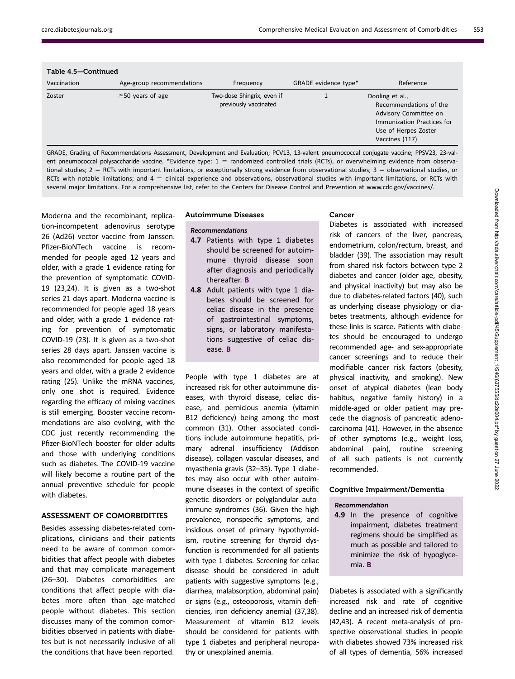| Table 4.5–Continued |                           |                                                     |                      |                                                                                                                                            |  |
|---------------------|---------------------------|-----------------------------------------------------|----------------------|--------------------------------------------------------------------------------------------------------------------------------------------|--|
| Vaccination         | Age-group recommendations | Frequency                                           | GRADE evidence type* | Reference                                                                                                                                  |  |
| Zoster              | $\geq$ 50 years of age    | Two-dose Shingrix, even if<br>previously vaccinated |                      | Dooling et al.,<br>Recommendations of the<br>Advisory Committee on<br>Immunization Practices for<br>Use of Herpes Zoster<br>Vaccines (117) |  |
|                     |                           |                                                     |                      |                                                                                                                                            |  |

GRADE, Grading of Recommendations Assessment, Development and Evaluation; PCV13, 13-valent pneumococcal conjugate vaccine; PPSV23, 23-valent pneumococcal polysaccharide vaccine. \*Evidence type:  $1 =$  randomized controlled trials (RCTs), or overwhelming evidence from observational studies;  $2 =$  RCTs with important limitations, or exceptionally strong evidence from observational studies;  $3 =$  observational studies, or RCTs with notable limitations; and  $4 =$  clinical experience and observations, observational studies with important limitations, or RCTs with several major limitations. For a comprehensive list, refer to the Centers for Disease Control and Prevention at [www.cdc.gov/vaccines/.](http://www.cdc.gov/vaccines/)

Moderna and the recombinant, replication-incompetent adenovirus serotype 26 (Ad26) vector vaccine from Janssen. Pfizer-BioNTech vaccine is recommended for people aged 12 years and older, with a grade 1 evidence rating for the prevention of symptomatic COVID-19 (23,24). It is given as a two-shot series 21 days apart. Moderna vaccine is recommended for people aged 18 years and older, with a grade 1 evidence rating for prevention of symptomatic COVID-19 (23). It is given as a two-shot series 28 days apart. Janssen vaccine is also recommended for people aged 18 years and older, with a grade 2 evidence rating (25). Unlike the mRNA vaccines, only one shot is required. Evidence regarding the efficacy of mixing vaccines is still emerging. Booster vaccine recommendations are also evolving, with the CDC just recently recommending the Pfizer-BioNTech booster for older adults and those with underlying conditions such as diabetes. The COVID-19 vaccine will likely become a routine part of the annual preventive schedule for people with diabetes.

# ASSESSMENT OF COMORBIDITIES

Besides assessing diabetes-related complications, clinicians and their patients need to be aware of common comorbidities that affect people with diabetes and that may complicate management (26–30). Diabetes comorbidities are conditions that affect people with diabetes more often than age-matched people without diabetes. This section discusses many of the common comorbidities observed in patients with diabetes but is not necessarily inclusive of all the conditions that have been reported.

#### Autoimmune Diseases

#### Recommendations

- 4.7 Patients with type 1 diabetes should be screened for autoimmune thyroid disease soon after diagnosis and periodically thereafter. B
- 4.8 Adult patients with type 1 diabetes should be screened for celiac disease in the presence of gastrointestinal symptoms, signs, or laboratory manifestations suggestive of celiac disease. B

People with type 1 diabetes are at increased risk for other autoimmune diseases, with thyroid disease, celiac disease, and pernicious anemia (vitamin B12 deficiency) being among the most common (31). Other associated conditions include autoimmune hepatitis, primary adrenal insufficiency (Addison disease), collagen vascular diseases, and myasthenia gravis (32–35). Type 1 diabetes may also occur with other autoimmune diseases in the context of specific genetic disorders or polyglandular autoimmune syndromes (36). Given the high prevalence, nonspecific symptoms, and insidious onset of primary hypothyroidism, routine screening for thyroid dysfunction is recommended for all patients with type 1 diabetes. Screening for celiac disease should be considered in adult patients with suggestive symptoms (e.g., diarrhea, malabsorption, abdominal pain) or signs (e.g., osteoporosis, vitamin deficiencies, iron deficiency anemia) (37,38). Measurement of vitamin B12 levels should be considered for patients with type 1 diabetes and peripheral neuropathy or unexplained anemia.

# Cancer

Diabetes is associated with increased risk of cancers of the liver, pancreas, endometrium, colon/rectum, breast, and bladder (39). The association may result from shared risk factors between type 2 diabetes and cancer (older age, obesity, and physical inactivity) but may also be due to diabetes-related factors (40), such as underlying disease physiology or diabetes treatments, although evidence for these links is scarce. Patients with diabetes should be encouraged to undergo recommended age- and sex-appropriate cancer screenings and to reduce their modifiable cancer risk factors (obesity, physical inactivity, and smoking). New onset of atypical diabetes (lean body habitus, negative family history) in a middle-aged or older patient may precede the diagnosis of pancreatic adenocarcinoma (41). However, in the absence of other symptoms (e.g., weight loss, abdominal pain), routine screening of all such patients is not currently recommended.

#### Cognitive Impairment/Dementia

## Recommendation

4.9 In the presence of cognitive impairment, diabetes treatment regimens should be simplified as much as possible and tailored to minimize the risk of hypoglycemia. B

Diabetes is associated with a significantly increased risk and rate of cognitive decline and an increased risk of dementia (42,43). A recent meta-analysis of prospective observational studies in people with diabetes showed 73% increased risk of all types of dementia, 56% increased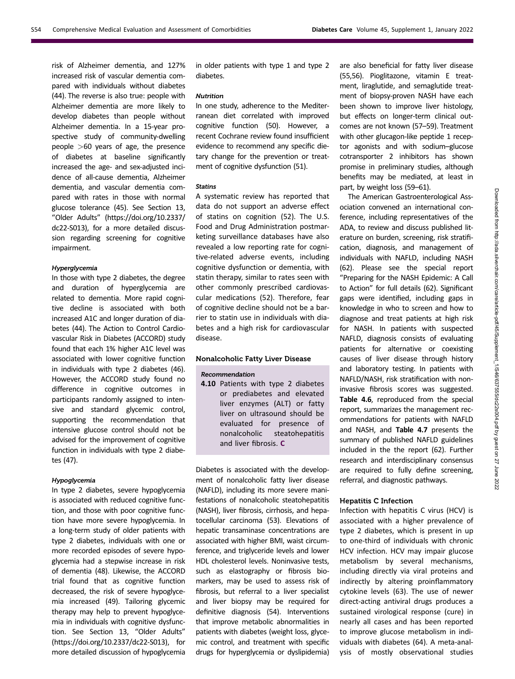risk of Alzheimer dementia, and 127% increased risk of vascular dementia compared with individuals without diabetes (44). The reverse is also true: people with Alzheimer dementia are more likely to develop diabetes than people without Alzheimer dementia. In a 15-year prospective study of community-dwelling people >60 years of age, the presence of diabetes at baseline significantly increased the age- and sex-adjusted incidence of all-cause dementia, Alzheimer dementia, and vascular dementia compared with rates in those with normal glucose tolerance (45). See Section 13, "Older Adults" ([https://doi.org/10.2337/](https://doi.org/10.2337/dc22-S013) [dc22-S013\)](https://doi.org/10.2337/dc22-S013), for a more detailed discussion regarding screening for cognitive impairment.

#### Hyperglycemia

In those with type 2 diabetes, the degree and duration of hyperglycemia are related to dementia. More rapid cognitive decline is associated with both increased A1C and longer duration of diabetes (44). The Action to Control Cardiovascular Risk in Diabetes (ACCORD) study found that each 1% higher A1C level was associated with lower cognitive function in individuals with type 2 diabetes (46). However, the ACCORD study found no difference in cognitive outcomes in participants randomly assigned to intensive and standard glycemic control, supporting the recommendation that intensive glucose control should not be advised for the improvement of cognitive function in individuals with type 2 diabetes (47).

## Hypoglycemia

In type 2 diabetes, severe hypoglycemia is associated with reduced cognitive function, and those with poor cognitive function have more severe hypoglycemia. In a long-term study of older patients with type 2 diabetes, individuals with one or more recorded episodes of severe hypoglycemia had a stepwise increase in risk of dementia (48). Likewise, the ACCORD trial found that as cognitive function decreased, the risk of severe hypoglycemia increased (49). Tailoring glycemic therapy may help to prevent hypoglycemia in individuals with cognitive dysfunction. See Section 13, "Older Adults" [\(https://doi.org/10.2337/dc22-S013](https://doi.org/10.2337/dc22-S013)), for more detailed discussion of hypoglycemia

in older patients with type 1 and type 2 diabetes.

#### Nutrition

In one study, adherence to the Mediterranean diet correlated with improved cognitive function (50). However, a recent Cochrane review found insufficient evidence to recommend any specific dietary change for the prevention or treatment of cognitive dysfunction (51).

#### Statins

A systematic review has reported that data do not support an adverse effect of statins on cognition (52). The U.S. Food and Drug Administration postmarketing surveillance databases have also revealed a low reporting rate for cognitive-related adverse events, including cognitive dysfunction or dementia, with statin therapy, similar to rates seen with other commonly prescribed cardiovascular medications (52). Therefore, fear of cognitive decline should not be a barrier to statin use in individuals with diabetes and a high risk for cardiovascular disease.

#### Nonalcoholic Fatty Liver Disease

#### Recommendation

4.10 Patients with type 2 diabetes or prediabetes and elevated liver enzymes (ALT) or fatty liver on ultrasound should be evaluated for presence of nonalcoholic steatohepatitis and liver fibrosis. C

Diabetes is associated with the development of nonalcoholic fatty liver disease (NAFLD), including its more severe manifestations of nonalcoholic steatohepatitis (NASH), liver fibrosis, cirrhosis, and hepatocellular carcinoma (53). Elevations of hepatic transaminase concentrations are associated with higher BMI, waist circumference, and triglyceride levels and lower HDL cholesterol levels. Noninvasive tests, such as elastography or fibrosis biomarkers, may be used to assess risk of fibrosis, but referral to a liver specialist and liver biopsy may be required for definitive diagnosis (54). Interventions that improve metabolic abnormalities in patients with diabetes (weight loss, glycemic control, and treatment with specific drugs for hyperglycemia or dyslipidemia)

are also beneficial for fatty liver disease (55,56). Pioglitazone, vitamin E treatment, liraglutide, and semaglutide treatment of biopsy-proven NASH have each been shown to improve liver histology, but effects on longer-term clinical outcomes are not known (57–59). Treatment with other glucagon-like peptide 1 receptor agonists and with sodium–glucose cotransporter 2 inhibitors has shown promise in preliminary studies, although benefits may be mediated, at least in part, by weight loss (59–61).

The American Gastroenterological Association convened an international conference, including representatives of the ADA, to review and discuss published literature on burden, screening, risk stratification, diagnosis, and management of individuals with NAFLD, including NASH (62). Please see the special report "Preparing for the NASH Epidemic: A Call to Action" for full details (62). Significant gaps were identified, including gaps in knowledge in who to screen and how to diagnose and treat patients at high risk for NASH. In patients with suspected NAFLD, diagnosis consists of evaluating patients for alternative or coexisting causes of liver disease through history and laboratory testing. In patients with NAFLD/NASH, risk stratification with noninvasive fibrosis scores was suggested. Table 4.6, reproduced from the special report, summarizes the management recommendations for patients with NAFLD and NASH, and Table 4.7 presents the summary of published NAFLD guidelines included in the the report (62). Further research and interdisciplinary consensus are required to fully define screening, referral, and diagnostic pathways.

## Hepatitis C Infection

Infection with hepatitis C virus (HCV) is associated with a higher prevalence of type 2 diabetes, which is present in up to one-third of individuals with chronic HCV infection. HCV may impair glucose metabolism by several mechanisms, including directly via viral proteins and indirectly by altering proinflammatory cytokine levels (63). The use of newer direct-acting antiviral drugs produces a sustained virological response (cure) in nearly all cases and has been reported to improve glucose metabolism in individuals with diabetes (64). A meta-analysis of mostly observational studies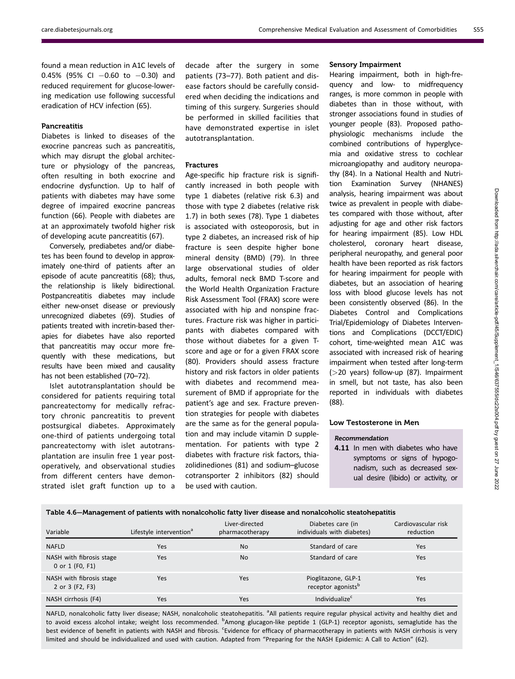found a mean reduction in A1C levels of 0.45% (95% CI  $-0.60$  to  $-0.30$ ) and reduced requirement for glucose-lowering medication use following successful eradication of HCV infection (65).

## Pancreatitis

Diabetes is linked to diseases of the exocrine pancreas such as pancreatitis, which may disrupt the global architecture or physiology of the pancreas, often resulting in both exocrine and endocrine dysfunction. Up to half of patients with diabetes may have some degree of impaired exocrine pancreas function (66). People with diabetes are at an approximately twofold higher risk of developing acute pancreatitis (67).

Conversely, prediabetes and/or diabetes has been found to develop in approximately one-third of patients after an episode of acute pancreatitis (68); thus, the relationship is likely bidirectional. Postpancreatitis diabetes may include either new-onset disease or previously unrecognized diabetes (69). Studies of patients treated with incretin-based therapies for diabetes have also reported that pancreatitis may occur more frequently with these medications, but results have been mixed and causality has not been established (70–72).

Islet autotransplantation should be considered for patients requiring total pancreatectomy for medically refractory chronic pancreatitis to prevent postsurgical diabetes. Approximately one-third of patients undergoing total pancreatectomy with islet autotransplantation are insulin free 1 year postoperatively, and observational studies from different centers have demonstrated islet graft function up to a

decade after the surgery in some patients (73–77). Both patient and disease factors should be carefully considered when deciding the indications and timing of this surgery. Surgeries should be performed in skilled facilities that have demonstrated expertise in islet autotransplantation.

## Fractures

Age-specific hip fracture risk is significantly increased in both people with type 1 diabetes (relative risk 6.3) and those with type 2 diabetes (relative risk 1.7) in both sexes (78). Type 1 diabetes is associated with osteoporosis, but in type 2 diabetes, an increased risk of hip fracture is seen despite higher bone mineral density (BMD) (79). In three large observational studies of older adults, femoral neck BMD T-score and the World Health Organization Fracture Risk Assessment Tool (FRAX) score were associated with hip and nonspine fractures. Fracture risk was higher in participants with diabetes compared with those without diabetes for a given Tscore and age or for a given FRAX score (80). Providers should assess fracture history and risk factors in older patients with diabetes and recommend measurement of BMD if appropriate for the patient's age and sex. Fracture prevention strategies for people with diabetes are the same as for the general population and may include vitamin D supplementation. For patients with type 2 diabetes with fracture risk factors, thiazolidinediones (81) and sodium–glucose cotransporter 2 inhibitors (82) should be used with caution.

#### Sensory Impairment

Hearing impairment, both in high-frequency and low- to midfrequency ranges, is more common in people with diabetes than in those without, with stronger associations found in studies of younger people (83). Proposed pathophysiologic mechanisms include the combined contributions of hyperglycemia and oxidative stress to cochlear microangiopathy and auditory neuropathy (84). In a National Health and Nutrition Examination Survey (NHANES) analysis, hearing impairment was about twice as prevalent in people with diabetes compared with those without, after adjusting for age and other risk factors for hearing impairment (85). Low HDL cholesterol, coronary heart disease, peripheral neuropathy, and general poor health have been reported as risk factors for hearing impairment for people with diabetes, but an association of hearing loss with blood glucose levels has not been consistently observed (86). In the Diabetes Control and Complications Trial/Epidemiology of Diabetes Interventions and Complications (DCCT/EDIC) cohort, time-weighted mean A1C was associated with increased risk of hearing impairment when tested after long-term (>20 years) follow-up (87). Impairment in smell, but not taste, has also been reported in individuals with diabetes (88).

#### Low Testosterone in Men

## Recommendation

4.11 In men with diabetes who have symptoms or signs of hypogonadism, such as decreased sexual desire (libido) or activity, or

# Table 4.6—Management of patients with nonalcoholic fatty liver disease and nonalcoholic steatohepatitis

| Variable                                    | Lifestyle intervention <sup>a</sup> | Liver-directed<br>pharmacotherapy | Diabetes care (in<br>individuals with diabetes)       | Cardiovascular risk<br>reduction |
|---------------------------------------------|-------------------------------------|-----------------------------------|-------------------------------------------------------|----------------------------------|
| <b>NAFLD</b>                                | Yes                                 | No                                | Standard of care                                      | Yes                              |
| NASH with fibrosis stage<br>0 or 1 (F0, F1) | Yes                                 | No                                | Standard of care                                      | Yes                              |
| NASH with fibrosis stage<br>2 or 3 (F2, F3) | Yes                                 | Yes                               | Pioglitazone, GLP-1<br>receptor agonists <sup>b</sup> | Yes                              |
| NASH cirrhosis (F4)                         | Yes                                 | Yes                               | Individualize <sup>c</sup>                            | Yes                              |

NAFLD, nonalcoholic fatty liver disease; NASH, nonalcoholic steatohepatitis. <sup>a</sup>All patients require regular physical activity and healthy diet and to avoid excess alcohol intake; weight loss recommended. <sup>b</sup>Among glucagon-like peptide 1 (GLP-1) receptor agonists, semaglutide has the best evidence of benefit in patients with NASH and fibrosis. <sup>c</sup>Evidence for efficacy of pharmacotherapy in patients with NASH cirrhosis is very limited and should be individualized and used with caution. Adapted from "Preparing for the NASH Epidemic: A Call to Action" (62).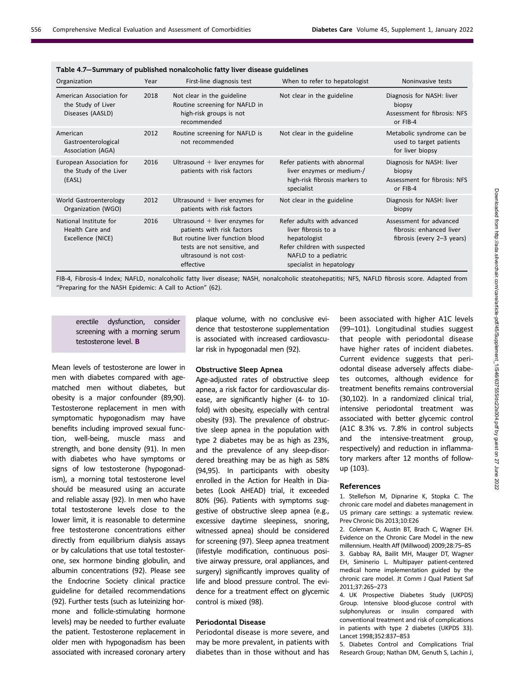| Table 4.7–Summary of published nonalcoholic fatty liver disease guidelines |      |                                                                                                                                                                            |                                                                                                                                                        |                                                                                   |  |
|----------------------------------------------------------------------------|------|----------------------------------------------------------------------------------------------------------------------------------------------------------------------------|--------------------------------------------------------------------------------------------------------------------------------------------------------|-----------------------------------------------------------------------------------|--|
| Organization                                                               | Year | First-line diagnosis test                                                                                                                                                  | When to refer to hepatologist                                                                                                                          | Noninvasive tests                                                                 |  |
| American Association for<br>the Study of Liver<br>Diseases (AASLD)         | 2018 | Not clear in the guideline<br>Routine screening for NAFLD in<br>high-risk groups is not<br>recommended                                                                     | Not clear in the guideline                                                                                                                             | Diagnosis for NASH: liver<br>biopsy<br>Assessment for fibrosis: NFS<br>or FIB-4   |  |
| American<br>Gastroenterological<br>Association (AGA)                       | 2012 | Routine screening for NAFLD is<br>not recommended                                                                                                                          | Not clear in the guideline                                                                                                                             | Metabolic syndrome can be<br>used to target patients<br>for liver biopsy          |  |
| European Association for<br>the Study of the Liver<br>(EASL)               | 2016 | Ultrasound $+$ liver enzymes for<br>patients with risk factors                                                                                                             | Refer patients with abnormal<br>liver enzymes or medium-/<br>high-risk fibrosis markers to<br>specialist                                               | Diagnosis for NASH: liver<br>biopsy<br>Assessment for fibrosis: NFS<br>or FIB-4   |  |
| World Gastroenterology<br>Organization (WGO)                               | 2012 | Ultrasound $+$ liver enzymes for<br>patients with risk factors                                                                                                             | Not clear in the guideline                                                                                                                             | Diagnosis for NASH: liver<br>biopsy                                               |  |
| National Institute for<br>Health Care and<br>Excellence (NICE)             | 2016 | Ultrasound $+$ liver enzymes for<br>patients with risk factors<br>But routine liver function blood<br>tests are not sensitive, and<br>ultrasound is not cost-<br>effective | Refer adults with advanced<br>liver fibrosis to a<br>hepatologist<br>Refer children with suspected<br>NAFLD to a pediatric<br>specialist in hepatology | Assessment for advanced<br>fibrosis: enhanced liver<br>fibrosis (every 2-3 years) |  |

FIB-4, Fibrosis-4 Index; NAFLD, nonalcoholic fatty liver disease; NASH, nonalcoholic steatohepatitis; NFS, NAFLD fibrosis score. Adapted from "Preparing for the NASH Epidemic: A Call to Action" (62).

erectile dysfunction, consider screening with a morning serum testosterone level. B

Mean levels of testosterone are lower in men with diabetes compared with agematched men without diabetes, but obesity is a major confounder (89,90). Testosterone replacement in men with symptomatic hypogonadism may have benefits including improved sexual function, well-being, muscle mass and strength, and bone density (91). In men with diabetes who have symptoms or signs of low testosterone (hypogonadism), a morning total testosterone level should be measured using an accurate and reliable assay (92). In men who have total testosterone levels close to the lower limit, it is reasonable to determine free testosterone concentrations either directly from equilibrium dialysis assays or by calculations that use total testosterone, sex hormone binding globulin, and albumin concentrations (92). Please see the Endocrine Society clinical practice guideline for detailed recommendations (92). Further tests (such as luteinizing hormone and follicle-stimulating hormone levels) may be needed to further evaluate the patient. Testosterone replacement in older men with hypogonadism has been associated with increased coronary artery

plaque volume, with no conclusive evidence that testosterone supplementation is associated with increased cardiovascular risk in hypogonadal men (92).

#### Obstructive Sleep Apnea

Age-adjusted rates of obstructive sleep apnea, a risk factor for cardiovascular disease, are significantly higher (4- to 10 fold) with obesity, especially with central obesity (93). The prevalence of obstructive sleep apnea in the population with type 2 diabetes may be as high as 23%, and the prevalence of any sleep-disordered breathing may be as high as 58% (94,95). In participants with obesity enrolled in the Action for Health in Diabetes (Look AHEAD) trial, it exceeded 80% (96). Patients with symptoms suggestive of obstructive sleep apnea (e.g., excessive daytime sleepiness, snoring, witnessed apnea) should be considered for screening (97). Sleep apnea treatment (lifestyle modification, continuous positive airway pressure, oral appliances, and surgery) significantly improves quality of life and blood pressure control. The evidence for a treatment effect on glycemic control is mixed (98).

# Periodontal Disease

Periodontal disease is more severe, and may be more prevalent, in patients with diabetes than in those without and has

been associated with higher A1C levels (99–101). Longitudinal studies suggest that people with periodontal disease have higher rates of incident diabetes. Current evidence suggests that periodontal disease adversely affects diabetes outcomes, although evidence for treatment benefits remains controversial (30,102). In a randomized clinical trial, intensive periodontal treatment was associated with better glycemic control (A1C 8.3% vs. 7.8% in control subjects and the intensive-treatment group, respectively) and reduction in inflammatory markers after 12 months of followup (103).

#### References

1. Stellefson M, Dipnarine K, Stopka C. The chronic care model and diabetes management in US primary care settings: a systematic review. Prev Chronic Dis 2013;10:E26

2. Coleman K, Austin BT, Brach C, Wagner EH. Evidence on the Chronic Care Model in the new millennium. Health Aff (Millwood) 2009;28:75–85 3. Gabbay RA, Bailit MH, Mauger DT, Wagner EH, Siminerio L. Multipayer patient-centered medical home implementation guided by the chronic care model. Jt Comm J Qual Patient Saf 2011;37:265–273

4. UK Prospective Diabetes Study (UKPDS) Group. Intensive blood-glucose control with sulphonylureas or insulin compared with conventional treatment and risk of complications in patients with type 2 diabetes (UKPDS 33). Lancet 1998;352:837–853

5. Diabetes Control and Complications Trial Research Group; Nathan DM, Genuth S, Lachin J,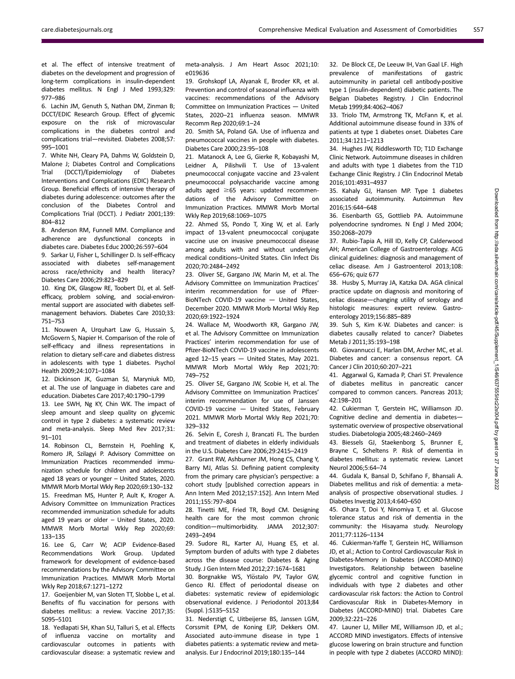et al. The effect of intensive treatment of diabetes on the development and progression of long-term complications in insulin-dependent diabetes mellitus. N Engl J Med 1993;329: 977–986

6. Lachin JM, Genuth S, Nathan DM, Zinman B; DCCT/EDIC Research Group. Effect of glycemic exposure on the risk of microvascular complications in the diabetes control and complications trial—revisited. Diabetes 2008;57: 995–1001

7. White NH, Cleary PA, Dahms W, Goldstein D, Malone J; Diabetes Control and Complications Trial (DCCT)/Epidemiology of Diabetes Interventions and Complications (EDIC) Research Group. Beneficial effects of intensive therapy of diabetes during adolescence: outcomes after the conclusion of the Diabetes Control and Complications Trial (DCCT). J Pediatr 2001;139: 804–812

8. Anderson RM, Funnell MM. Compliance and adherence are dysfunctional concepts in diabetes care. Diabetes Educ 2000;26:597–604

9. Sarkar U, Fisher L, Schillinger D. Is self-efficacy associated with diabetes self-management across race/ethnicity and health literacy? Diabetes Care 2006;29:823–829

10. King DK, Glasgow RE, Toobert DJ, et al. Selfefficacy, problem solving, and social-environmental support are associated with diabetes selfmanagement behaviors. Diabetes Care 2010;33: 751–753

11. Nouwen A, Urquhart Law G, Hussain S, McGovern S, Napier H. Comparison of the role of self-efficacy and illness representations in relation to dietary self-care and diabetes distress in adolescents with type 1 diabetes. Psychol Health 2009;24:1071–1084

12. Dickinson JK, Guzman SJ, Maryniuk MD, et al. The use of language in diabetes care and education. Diabetes Care 2017;40:1790–1799

13. Lee SWH, Ng KY, Chin WK. The impact of sleep amount and sleep quality on glycemic control in type 2 diabetes: a systematic review and meta-analysis. Sleep Med Rev 2017;31: 91–101

14. Robinson CL, Bernstein H, Poehling K, Romero JR, Szilagyi P. Advisory Committee on Immunization Practices recommended immunization schedule for children and adolescents aged 18 years or younger – United States, 2020. MMWR Morb Mortal Wkly Rep 2020;69:130–132 15. Freedman MS, Hunter P, Ault K, Kroger A. Advisory Committee on Immunization Practices recommended immunization schedule for adults aged 19 years or older – United States, 2020. MMWR Morb Mortal Wkly Rep 2020;69: 133–135

16. Lee G, Carr W; ACIP Evidence-Based Recommendations Work Group. Updated framework for development of evidence-based recommendations by the Advisory Committee on Immunization Practices. MMWR Morb Mortal Wkly Rep 2018;67:1271–1272

17. Goeijenbier M, van Sloten TT, Slobbe L, et al. Benefits of flu vaccination for persons with diabetes mellitus: a review. Vaccine 2017;35: 5095–5101

18. Yedlapati SH, Khan SU, Talluri S, et al. Effects of influenza vaccine on mortality and cardiovascular outcomes in patients with cardiovascular disease: a systematic review and

meta-analysis. J Am Heart Assoc 2021;10: e019636

19. Grohskopf LA, Alyanak E, Broder KR, et al. Prevention and control of seasonal influenza with vaccines: recommendations of the Advisory Committee on Immunization Practices — United States, 2020–21 influenza season. MMWR Recomm Rep 2020;69:1–24

20. Smith SA, Poland GA. Use of influenza and pneumococcal vaccines in people with diabetes. Diabetes Care 2000;23:95–108

21. Matanock A, Lee G, Gierke R, Kobayashi M, Leidner A, Pilishvili T. Use of 13-valent pneumococcal conjugate vaccine and 23-valent pneumococcal polysaccharide vaccine among adults aged  $\geq 65$  years: updated recommendations of the Advisory Committee on Immunization Practices. MMWR Morb Mortal Wkly Rep 2019;68:1069–1075

22. Ahmed SS, Pondo T, Xing W, et al. Early impact of 13-valent pneumococcal conjugate vaccine use on invasive pneumococcal disease among adults with and without underlying medical conditions–United States. Clin Infect Dis 2020;70:2484–2492

23. Oliver SE, Gargano JW, Marin M, et al. The Advisory Committee on Immunization Practices' interim recommendation for use of Pfizer-BioNTech COVID-19 vaccine — United States, December 2020. MMWR Morb Mortal Wkly Rep 2020;69:1922–1924

24. Wallace M, Woodworth KR, Gargano JW, et al. The Advisory Committee on Immunization Practices' interim recommendation for use of Pfizer-BioNTech COVID-19 vaccine in adolescents aged 12–15 years — United States, May 2021. MMWR Morb Mortal Wkly Rep 2021;70: 749–752

25. Oliver SE, Gargano JW, Scobie H, et al. The Advisory Committee on Immunization Practices' interim recommendation for use of Janssen COVID-19 vaccine — United States, February 2021. MMWR Morb Mortal Wkly Rep 2021;70: 329–332

26. Selvin E, Coresh J, Brancati FL. The burden and treatment of diabetes in elderly individuals in the U.S. Diabetes Care 2006;29:2415–2419

27. Grant RW, Ashburner JM, Hong CS, Chang Y, Barry MJ, Atlas SJ. Defining patient complexity from the primary care physician's perspective: a cohort study [published correction appears in Ann Intern Med 2012;157:152]. Ann Intern Med 2011;155:797–804

28. Tinetti ME, Fried TR, Boyd CM. Designing health care for the most common chronic condition—multimorbidity. JAMA 2012;307: 2493–2494

29. Sudore RL, Karter AJ, Huang ES, et al. Symptom burden of adults with type 2 diabetes across the disease course: Diabetes & Aging Study. J Gen Intern Med 2012;27:1674–1681

30. Borgnakke WS, Ylöstalo PV, Taylor GW, Genco RJ. Effect of periodontal disease on diabetes: systematic review of epidemiologic observational evidence. J Periodontol 2013;84 (Suppl. ):S135–S152

31. Nederstigt C, Uitbeijerse BS, Janssen LGM, Corssmit EPM, de Koning EJP, Dekkers OM. Associated auto-immune disease in type 1 diabetes patients: a systematic review and metaanalysis. Eur J Endocrinol 2019;180:135–144

32. De Block CE, De Leeuw IH, Van Gaal LF. High prevalence of manifestations of gastric autoimmunity in parietal cell antibody-positive type 1 (insulin-dependent) diabetic patients. The Belgian Diabetes Registry. J Clin Endocrinol Metab 1999;84:4062–4067

33. Triolo TM, Armstrong TK, McFann K, et al. Additional autoimmune disease found in 33% of patients at type 1 diabetes onset. Diabetes Care 2011;34:1211–1213

34. Hughes JW, Riddlesworth TD; T1D Exchange Clinic Network. Autoimmune diseases in children and adults with type 1 diabetes from the T1D Exchange Clinic Registry. J Clin Endocrinol Metab 2016;101:4931–4937

35. Kahaly GJ, Hansen MP. Type 1 diabetes associated autoimmunity. Autoimmun Rev 2016;15:644–648

36. Eisenbarth GS, Gottlieb PA. Autoimmune polyendocrine syndromes. N Engl J Med 2004; 350:2068–2079

37. Rubio-Tapia A, Hill ID, Kelly CP, Calderwood AH; American College of Gastroenterology. ACG clinical guidelines: diagnosis and management of celiac disease. Am J Gastroenterol 2013;108: 656–676; quiz 677

38. Husby S, Murray JA, Katzka DA. AGA clinical practice update on diagnosis and monitoring of celiac disease—changing utility of serology and histologic measures: expert review. Gastroenterology 2019;156:885–889

39. Suh S, Kim K-W. Diabetes and cancer: is diabetes causally related to cancer? Diabetes Metab J 2011;35:193–198

40. Giovannucci E, Harlan DM, Archer MC, et al. Diabetes and cancer: a consensus report. CA Cancer J Clin 2010;60:207–221

41. Aggarwal G, Kamada P, Chari ST. Prevalence of diabetes mellitus in pancreatic cancer compared to common cancers. Pancreas 2013; 42:198–201

42. Cukierman T, Gerstein HC, Williamson JD. Cognitive decline and dementia in diabetes systematic overview of prospective observational studies. Diabetologia 2005;48:2460–2469

43. Biessels GJ, Staekenborg S, Brunner E, Brayne C, Scheltens P. Risk of dementia in diabetes mellitus: a systematic review. Lancet Neurol 2006;5:64–74

44. Gudala K, Bansal D, Schifano F, Bhansali A. Diabetes mellitus and risk of dementia: a metaanalysis of prospective observational studies. J Diabetes Investig 2013;4:640–650

45. Ohara T, Doi Y, Ninomiya T, et al. Glucose tolerance status and risk of dementia in the community: the Hisayama study. Neurology 2011;77:1126–1134

46. Cukierman-Yaffe T, Gerstein HC, Williamson JD, et al.; Action to Control Cardiovascular Risk in Diabetes-Memory in Diabetes (ACCORD-MIND) Investigators. Relationship between baseline glycemic control and cognitive function in individuals with type 2 diabetes and other cardiovascular risk factors: the Action to Control Cardiovascular Risk in Diabetes-Memory in Diabetes (ACCORD-MIND) trial. Diabetes Care 2009;32:221–226

47. Launer LJ, Miller ME, Williamson JD, et al.; ACCORD MIND investigators. Effects of intensive glucose lowering on brain structure and function in people with type 2 diabetes (ACCORD MIND):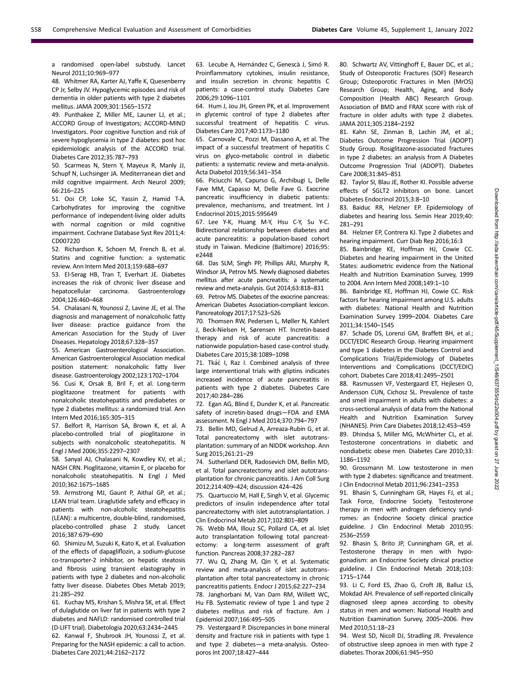a randomised open-label substudy. Lancet Neurol 2011;10:969–977

48. Whitmer RA, Karter AJ, Yaffe K, Quesenberry CP Jr, Selby JV. Hypoglycemic episodes and risk of dementia in older patients with type 2 diabetes mellitus. JAMA 2009;301:1565–1572

49. Punthakee Z, Miller ME, Launer LJ, et al.; ACCORD Group of Investigators; ACCORD-MIND Investigators. Poor cognitive function and risk of severe hypoglycemia in type 2 diabetes: post hoc epidemiologic analysis of the ACCORD trial. Diabetes Care 2012;35:787–793

50. Scarmeas N, Stern Y, Mayeux R, Manly JJ, Schupf N, Luchsinger JA. Mediterranean diet and mild cognitive impairment. Arch Neurol 2009; 66:216–225

51. Ooi CP, Loke SC, Yassin Z, Hamid T-A. Carbohydrates for improving the cognitive performance of independent-living older adults with normal cognition or mild cognitive impairment. Cochrane Database Syst Rev 2011;4: CD007220

52. Richardson K, Schoen M, French B, et al. Statins and cognitive function: a systematic review. Ann Intern Med 2013;159:688–697

53. El-Serag HB, Tran T, Everhart JE. Diabetes increases the risk of chronic liver disease and hepatocellular carcinoma. Gastroenterology 2004;126:460–468

54. Chalasani N, Younossi Z, Lavine JE, et al. The diagnosis and management of nonalcoholic fatty liver disease: practice guidance from the American Association for the Study of Liver Diseases. Hepatology 2018;67:328–357

55. American Gastroenterological Association. American Gastroenterological Association medical position statement: nonalcoholic fatty liver disease. Gastroenterology 2002;123:1702–1704

56. Cusi K, Orsak B, Bril F, et al. Long-term pioglitazone treatment for patients with nonalcoholic steatohepatitis and prediabetes or type 2 diabetes mellitus: a randomized trial. Ann Intern Med 2016;165:305–315

57. Belfort R, Harrison SA, Brown K, et al. A placebo-controlled trial of pioglitazone in subjects with nonalcoholic steatohepatitis. N Engl J Med 2006;355:2297–2307

58. Sanyal AJ, Chalasani N, Kowdley KV, et al.; NASH CRN. Pioglitazone, vitamin E, or placebo for nonalcoholic steatohepatitis. N Engl J Med 2010;362:1675–1685

59. Armstrong MJ, Gaunt P, Aithal GP, et al.; LEAN trial team. Liraglutide safety and efficacy in patients with non-alcoholic steatohepatitis (LEAN): a multicentre, double-blind, randomised, placebo-controlled phase 2 study. Lancet 2016;387:679–690

60. Shimizu M, Suzuki K, Kato K, et al. Evaluation of the effects of dapagliflozin, a sodium-glucose co-transporter-2 inhibitor, on hepatic steatosis and fibrosis using transient elastography in patients with type 2 diabetes and non-alcoholic fatty liver disease. Diabetes Obes Metab 2019; 21:285–292

61. Kuchay MS, Krishan S, Mishra SK, et al. Effect of dulaglutide on liver fat in patients with type 2 diabetes and NAFLD: randomised controlled trial (D-LIFT trial). Diabetologia 2020;63:2434–2445

62. Kanwal F, Shubrook JH, Younossi Z, et al. Preparing for the NASH epidemic: a call to action. Diabetes Care 2021;44:2162–2172

63. Lecube A, Hernández C, Genescà J, Simó R. Proinflammatory cytokines, insulin resistance, and insulin secretion in chronic hepatitis C patients: a case-control study. Diabetes Care 2006;29:1096–1101

64. Hum J, Jou JH, Green PK, et al. Improvement in glycemic control of type 2 diabetes after successful treatment of hepatitis C virus. Diabetes Care 2017;40:1173–1180

65. Carnovale C, Pozzi M, Dassano A, et al. The impact of a successful treatment of hepatitis C virus on glyco-metabolic control in diabetic patients: a systematic review and meta-analysis. Acta Diabetol 2019;56:341–354

66. Piciucchi M, Capurso G, Archibugi L, Delle Fave MM, Capasso M, Delle Fave G. Exocrine pancreatic insufficiency in diabetic patients: prevalence, mechanisms, and treatment. Int J Endocrinol 2015;2015:595649

67. Lee Y-K, Huang M-Y, Hsu C-Y, Su Y-C. Bidirectional relationship between diabetes and acute pancreatitis: a population-based cohort study in Taiwan. Medicine (Baltimore) 2016;95: e2448

68. Das SLM, Singh PP, Phillips ARJ, Murphy R, Windsor JA, Petrov MS. Newly diagnosed diabetes mellitus after acute pancreatitis: a systematic review and meta-analysis. Gut 2014;63:818–831

69. Petrov MS. Diabetes of the exocrine pancreas: American Diabetes Association-compliant lexicon. Pancreatology 2017;17:523–526

70. Thomsen RW, Pedersen L, Møller N, Kahlert J, Beck-Nielsen H, Sørensen HT. Incretin-based therapy and risk of acute pancreatitis: a nationwide population-based case-control study. Diabetes Care 2015;38:1089–1098

71. Tkáč I, Raz I. Combined analysis of three large interventional trials with gliptins indicates increased incidence of acute pancreatitis in patients with type 2 diabetes. Diabetes Care 2017;40:284–286

72. Egan AG, Blind E, Dunder K, et al. Pancreatic safety of incretin-based drugs—FDA and EMA assessment. N Engl J Med 2014;370:794–797

73. Bellin MD, Gelrud A, Arreaza-Rubin G, et al. Total pancreatectomy with islet autotransplantation: summary of an NIDDK workshop. Ann Surg 2015;261:21–29

74. Sutherland DER, Radosevich DM, Bellin MD, et al. Total pancreatectomy and islet autotransplantation for chronic pancreatitis. J Am Coll Surg 2012;214:409–424; discussion 424–426

75. Quartuccio M, Hall E, Singh V, et al. Glycemic predictors of insulin independence after total pancreatectomy with islet autotransplantation. J Clin Endocrinol Metab 2017;102:801–809

76. Webb MA, Illouz SC, Pollard CA, et al. Islet auto transplantation following total pancreatectomy: a long-term assessment of graft function. Pancreas 2008;37:282–287

77. Wu Q, Zhang M, Qin Y, et al. Systematic review and meta-analysis of islet autotransplantation after total pancreatectomy in chronic pancreatitis patients. Endocr J 2015;62:227–234

78. Janghorbani M, Van Dam RM, Willett WC, Hu FB. Systematic review of type 1 and type 2 diabetes mellitus and risk of fracture. Am J Epidemiol 2007;166:495–505

79. Vestergaard P. Discrepancies in bone mineral density and fracture risk in patients with type 1 and type 2 diabetes—a meta-analysis. Osteoporos Int 2007;18:427–444

80. Schwartz AV, Vittinghoff E, Bauer DC, et al.; Study of Osteoporotic Fractures (SOF) Research Group; Osteoporotic Fractures in Men (MrOS) Research Group; Health, Aging, and Body Composition (Health ABC) Research Group. Association of BMD and FRAX score with risk of fracture in older adults with type 2 diabetes. JAMA 2011;305:2184–2192

81. Kahn SE, Zinman B, Lachin JM, et al.; Diabetes Outcome Progression Trial (ADOPT) Study Group. Rosiglitazone-associated fractures in type 2 diabetes: an analysis from A Diabetes Outcome Progression Trial (ADOPT). Diabetes Care 2008;31:845–851

82. Taylor SI, Blau JE, Rother KI. Possible adverse effects of SGLT2 inhibitors on bone. Lancet Diabetes Endocrinol 2015;3:8–10

83. Baiduc RR, Helzner EP. Epidemiology of diabetes and hearing loss. Semin Hear 2019;40: 281–291

84. Helzner EP, Contrera KJ. Type 2 diabetes and hearing impairment. Curr Diab Rep 2016;16:3

85. Bainbridge KE, Hoffman HJ, Cowie CC. Diabetes and hearing impairment in the United States: audiometric evidence from the National Health and Nutrition Examination Survey, 1999 to 2004. Ann Intern Med 2008;149:1–10

86. Bainbridge KE, Hoffman HJ, Cowie CC. Risk factors for hearing impairment among U.S. adults with diabetes: National Health and Nutrition Examination Survey 1999–2004. Diabetes Care 2011;34:1540–1545

87. Schade DS, Lorenzi GM, Braffett BH, et al.; DCCT/EDIC Research Group. Hearing impairment and type 1 diabetes in the Diabetes Control and Complications Trial/Epidemiology of Diabetes Interventions and Complications (DCCT/EDIC) cohort. Diabetes Care 2018;41:2495–2501

88. Rasmussen VF, Vestergaard ET, Hejlesen O, Andersson CUN, Cichosz SL. Prevalence of taste and smell impairment in adults with diabetes: a cross-sectional analysis of data from the National Health and Nutrition Examination Survey (NHANES). Prim Care Diabetes 2018;12:453–459 89. Dhindsa S, Miller MG, McWhirter CL, et al. Testosterone concentrations in diabetic and nondiabetic obese men. Diabetes Care 2010;33: 1186–1192

90. Grossmann M. Low testosterone in men with type 2 diabetes: significance and treatment. J Clin Endocrinol Metab 2011;96:2341–2353

91. Bhasin S, Cunningham GR, Hayes FJ, et al.; Task Force, Endocrine Society. Testosterone therapy in men with androgen deficiency syndromes: an Endocrine Society clinical practice guideline. J Clin Endocrinol Metab 2010;95: 2536–2559

92. Bhasin S, Brito JP, Cunningham GR, et al. Testosterone therapy in men with hypogonadism: an Endocrine Society clinical practice guideline. J Clin Endocrinol Metab 2018;103: 1715–1744

93. Li C, Ford ES, Zhao G, Croft JB, Balluz LS, Mokdad AH. Prevalence of self-reported clinically diagnosed sleep apnea according to obesity status in men and women: National Health and Nutrition Examination Survey, 2005–2006. Prev Med 2010;51:18–23

94. West SD, Nicoll DJ, Stradling JR. Prevalence of obstructive sleep apnoea in men with type 2 diabetes.Thorax 2006;61:945–950